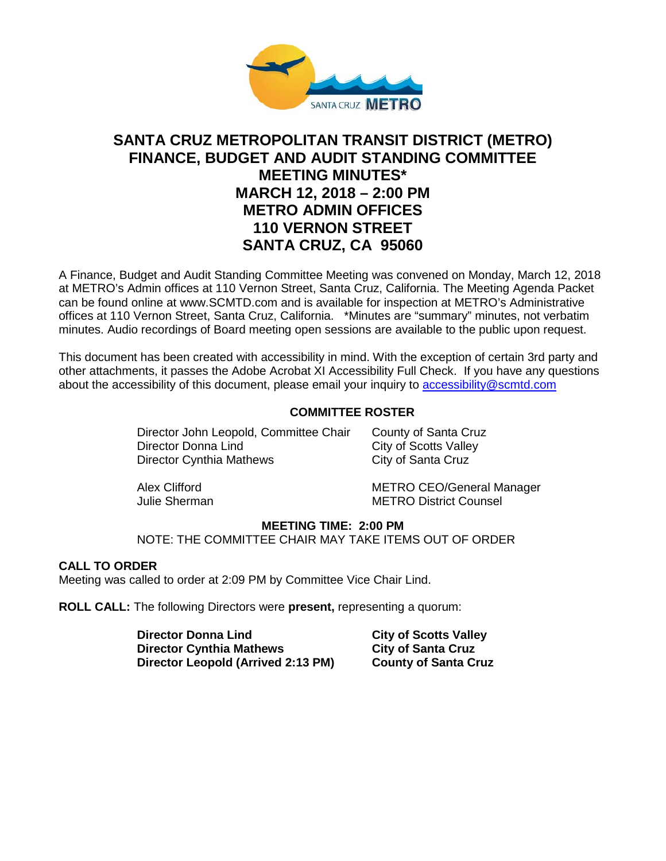

# **SANTA CRUZ METROPOLITAN TRANSIT DISTRICT (METRO) FINANCE, BUDGET AND AUDIT STANDING COMMITTEE MEETING MINUTES\* MARCH 12, 2018 – 2:00 PM METRO ADMIN OFFICES 110 VERNON STREET SANTA CRUZ, CA 95060**

A Finance, Budget and Audit Standing Committee Meeting was convened on Monday, March 12, 2018 at METRO's Admin offices at 110 Vernon Street, Santa Cruz, California. The Meeting Agenda Packet can be found online at www.SCMTD.com and is available for inspection at METRO's Administrative offices at 110 Vernon Street, Santa Cruz, California. \*Minutes are "summary" minutes, not verbatim minutes. Audio recordings of Board meeting open sessions are available to the public upon request.

This document has been created with accessibility in mind. With the exception of certain 3rd party and other attachments, it passes the Adobe Acrobat XI Accessibility Full Check. If you have any questions about the accessibility of this document, please email your inquiry to [accessibility@scmtd.com](mailto:accessibility@scmtd.com)

### **COMMITTEE ROSTER**

Director John Leopold, Committee Chair County of Santa Cruz Director Donna Lind<br>
Director Cynthia Mathews<br>
City of Santa Cruz Director Cynthia Mathews

Alex Clifford METRO CEO/General Manager Julie Sherman METRO District Counsel

### **MEETING TIME: 2:00 PM**

NOTE: THE COMMITTEE CHAIR MAY TAKE ITEMS OUT OF ORDER

### **CALL TO ORDER**

Meeting was called to order at 2:09 PM by Committee Vice Chair Lind.

**ROLL CALL:** The following Directors were **present,** representing a quorum:

**Director Donna Lind City of Scotts Valley Director Cynthia Mathews City of Santa Cruz Director Leopold (Arrived 2:13 PM) County of Santa Cruz**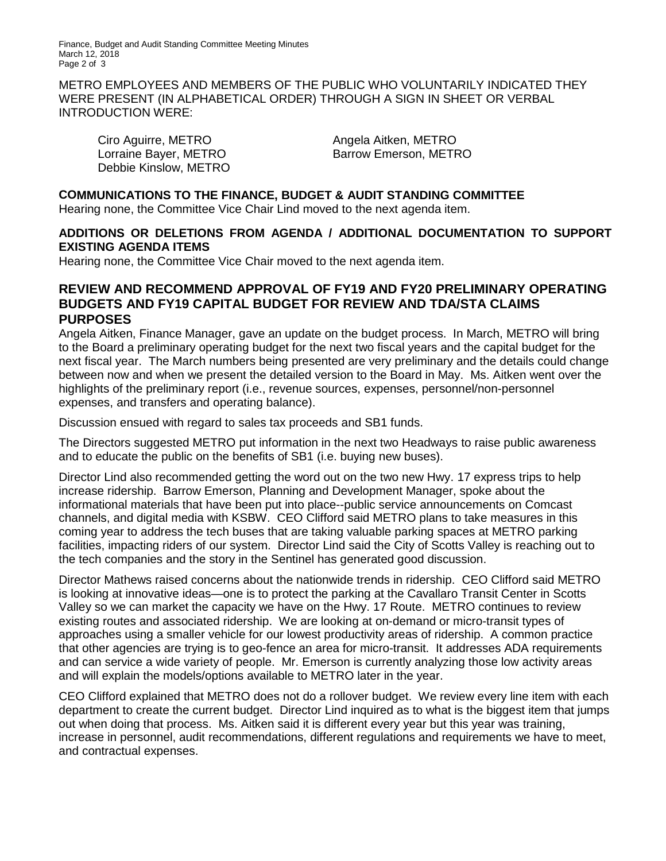Finance, Budget and Audit Standing Committee Meeting Minutes March 12, 2018 Page 2 of 3

METRO EMPLOYEES AND MEMBERS OF THE PUBLIC WHO VOLUNTARILY INDICATED THEY WERE PRESENT (IN ALPHABETICAL ORDER) THROUGH A SIGN IN SHEET OR VERBAL INTRODUCTION WERE:

Ciro Aguirre, METRO Angela Aitken, METRO Debbie Kinslow, METRO

Lorraine Bayer, METRO Barrow Emerson, METRO

### **COMMUNICATIONS TO THE FINANCE, BUDGET & AUDIT STANDING COMMITTEE**

Hearing none, the Committee Vice Chair Lind moved to the next agenda item.

### **ADDITIONS OR DELETIONS FROM AGENDA / ADDITIONAL DOCUMENTATION TO SUPPORT EXISTING AGENDA ITEMS**

Hearing none, the Committee Vice Chair moved to the next agenda item.

## **REVIEW AND RECOMMEND APPROVAL OF FY19 AND FY20 PRELIMINARY OPERATING BUDGETS AND FY19 CAPITAL BUDGET FOR REVIEW AND TDA/STA CLAIMS PURPOSES**

Angela Aitken, Finance Manager, gave an update on the budget process. In March, METRO will bring to the Board a preliminary operating budget for the next two fiscal years and the capital budget for the next fiscal year. The March numbers being presented are very preliminary and the details could change between now and when we present the detailed version to the Board in May. Ms. Aitken went over the highlights of the preliminary report (i.e., revenue sources, expenses, personnel/non-personnel expenses, and transfers and operating balance).

Discussion ensued with regard to sales tax proceeds and SB1 funds.

The Directors suggested METRO put information in the next two Headways to raise public awareness and to educate the public on the benefits of SB1 (i.e. buying new buses).

Director Lind also recommended getting the word out on the two new Hwy. 17 express trips to help increase ridership. Barrow Emerson, Planning and Development Manager, spoke about the informational materials that have been put into place--public service announcements on Comcast channels, and digital media with KSBW. CEO Clifford said METRO plans to take measures in this coming year to address the tech buses that are taking valuable parking spaces at METRO parking facilities, impacting riders of our system. Director Lind said the City of Scotts Valley is reaching out to the tech companies and the story in the Sentinel has generated good discussion.

Director Mathews raised concerns about the nationwide trends in ridership. CEO Clifford said METRO is looking at innovative ideas—one is to protect the parking at the Cavallaro Transit Center in Scotts Valley so we can market the capacity we have on the Hwy. 17 Route. METRO continues to review existing routes and associated ridership. We are looking at on-demand or micro-transit types of approaches using a smaller vehicle for our lowest productivity areas of ridership. A common practice that other agencies are trying is to geo-fence an area for micro-transit. It addresses ADA requirements and can service a wide variety of people. Mr. Emerson is currently analyzing those low activity areas and will explain the models/options available to METRO later in the year.

CEO Clifford explained that METRO does not do a rollover budget. We review every line item with each department to create the current budget. Director Lind inquired as to what is the biggest item that jumps out when doing that process. Ms. Aitken said it is different every year but this year was training, increase in personnel, audit recommendations, different regulations and requirements we have to meet, and contractual expenses.